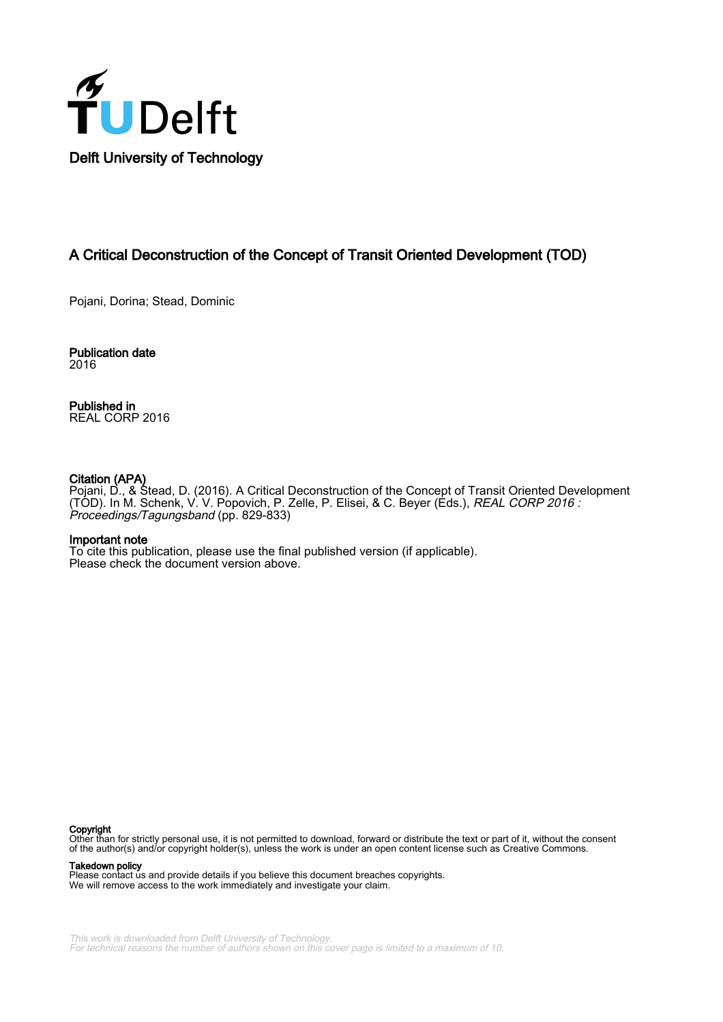

# A Critical Deconstruction of the Concept of Transit Oriented Development (TOD)

Pojani, Dorina; Stead, Dominic

Publication date 2016

Published in REAL CORP 2016

#### Citation (APA)

Pojani, D., & Stead, D. (2016). A Critical Deconstruction of the Concept of Transit Oriented Development (TOD). In M. Schenk, V. V. Popovich, P. Zelle, P. Elisei, & C. Beyer (Eds.), REAL CORP 2016 : Proceedings/Tagungsband (pp. 829-833)

#### Important note

To cite this publication, please use the final published version (if applicable). Please check the document version above.

Copyright

Other than for strictly personal use, it is not permitted to download, forward or distribute the text or part of it, without the consent of the author(s) and/or copyright holder(s), unless the work is under an open content license such as Creative Commons.

#### Takedown policy

Please contact us and provide details if you believe this document breaches copyrights. We will remove access to the work immediately and investigate your claim.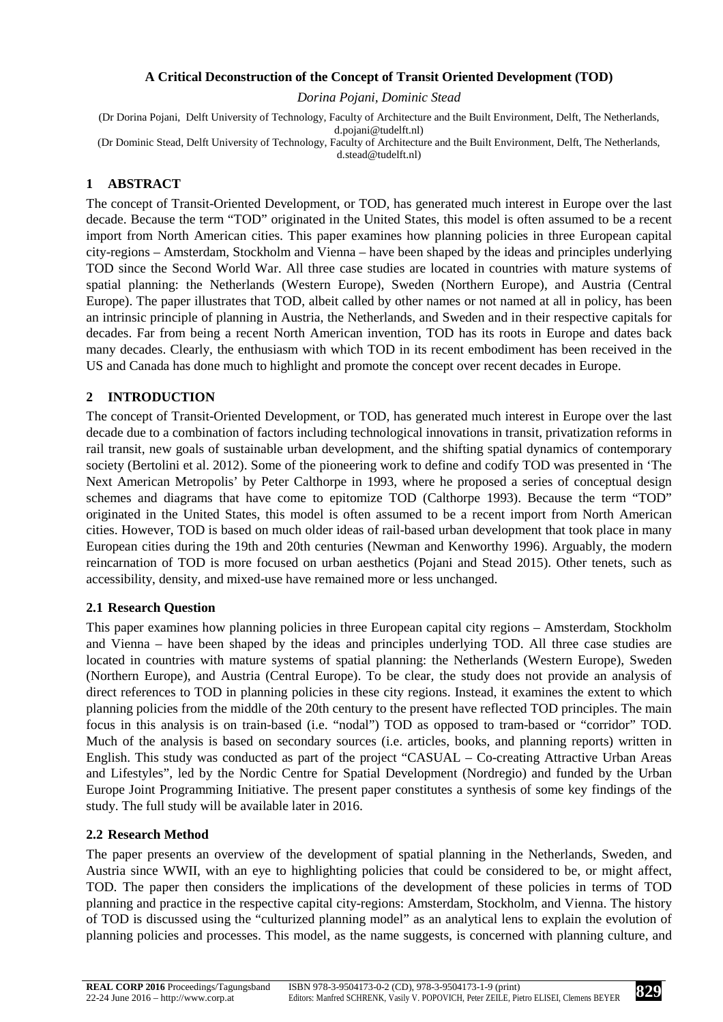## **A Critical Deconstruction of the Concept of Transit Oriented Development (TOD)**

*Dorina Pojani, Dominic Stead* 

(Dr Dorina Pojani, Delft University of Technology, Faculty of Architecture and the Built Environment, Delft, The Netherlands, d.pojani@tudelft.nl) (Dr Dominic Stead, Delft University of Technology, Faculty of Architecture and the Built Environment, Delft, The Netherlands, d.stead@tudelft.nl)

# **1 ABSTRACT**

The concept of Transit-Oriented Development, or TOD, has generated much interest in Europe over the last decade. Because the term "TOD" originated in the United States, this model is often assumed to be a recent import from North American cities. This paper examines how planning policies in three European capital city-regions – Amsterdam, Stockholm and Vienna – have been shaped by the ideas and principles underlying TOD since the Second World War. All three case studies are located in countries with mature systems of spatial planning: the Netherlands (Western Europe), Sweden (Northern Europe), and Austria (Central Europe). The paper illustrates that TOD, albeit called by other names or not named at all in policy, has been an intrinsic principle of planning in Austria, the Netherlands, and Sweden and in their respective capitals for decades. Far from being a recent North American invention, TOD has its roots in Europe and dates back many decades. Clearly, the enthusiasm with which TOD in its recent embodiment has been received in the US and Canada has done much to highlight and promote the concept over recent decades in Europe.

# **2 INTRODUCTION**

The concept of Transit-Oriented Development, or TOD, has generated much interest in Europe over the last decade due to a combination of factors including technological innovations in transit, privatization reforms in rail transit, new goals of sustainable urban development, and the shifting spatial dynamics of contemporary society (Bertolini et al. 2012). Some of the pioneering work to define and codify TOD was presented in 'The Next American Metropolis' by Peter Calthorpe in 1993, where he proposed a series of conceptual design schemes and diagrams that have come to epitomize TOD (Calthorpe 1993). Because the term "TOD" originated in the United States, this model is often assumed to be a recent import from North American cities. However, TOD is based on much older ideas of rail-based urban development that took place in many European cities during the 19th and 20th centuries (Newman and Kenworthy 1996). Arguably, the modern reincarnation of TOD is more focused on urban aesthetics (Pojani and Stead 2015). Other tenets, such as accessibility, density, and mixed-use have remained more or less unchanged.

## **2.1 Research Question**

This paper examines how planning policies in three European capital city regions – Amsterdam, Stockholm and Vienna – have been shaped by the ideas and principles underlying TOD. All three case studies are located in countries with mature systems of spatial planning: the Netherlands (Western Europe), Sweden (Northern Europe), and Austria (Central Europe). To be clear, the study does not provide an analysis of direct references to TOD in planning policies in these city regions. Instead, it examines the extent to which planning policies from the middle of the 20th century to the present have reflected TOD principles. The main focus in this analysis is on train-based (i.e. "nodal") TOD as opposed to tram-based or "corridor" TOD. Much of the analysis is based on secondary sources (i.e. articles, books, and planning reports) written in English. This study was conducted as part of the project "CASUAL – Co-creating Attractive Urban Areas and Lifestyles", led by the Nordic Centre for Spatial Development (Nordregio) and funded by the Urban Europe Joint Programming Initiative. The present paper constitutes a synthesis of some key findings of the study. The full study will be available later in 2016.

## **2.2 Research Method**

The paper presents an overview of the development of spatial planning in the Netherlands, Sweden, and Austria since WWII, with an eye to highlighting policies that could be considered to be, or might affect, TOD. The paper then considers the implications of the development of these policies in terms of TOD planning and practice in the respective capital city-regions: Amsterdam, Stockholm, and Vienna. The history of TOD is discussed using the "culturized planning model" as an analytical lens to explain the evolution of planning policies and processes. This model, as the name suggests, is concerned with planning culture, and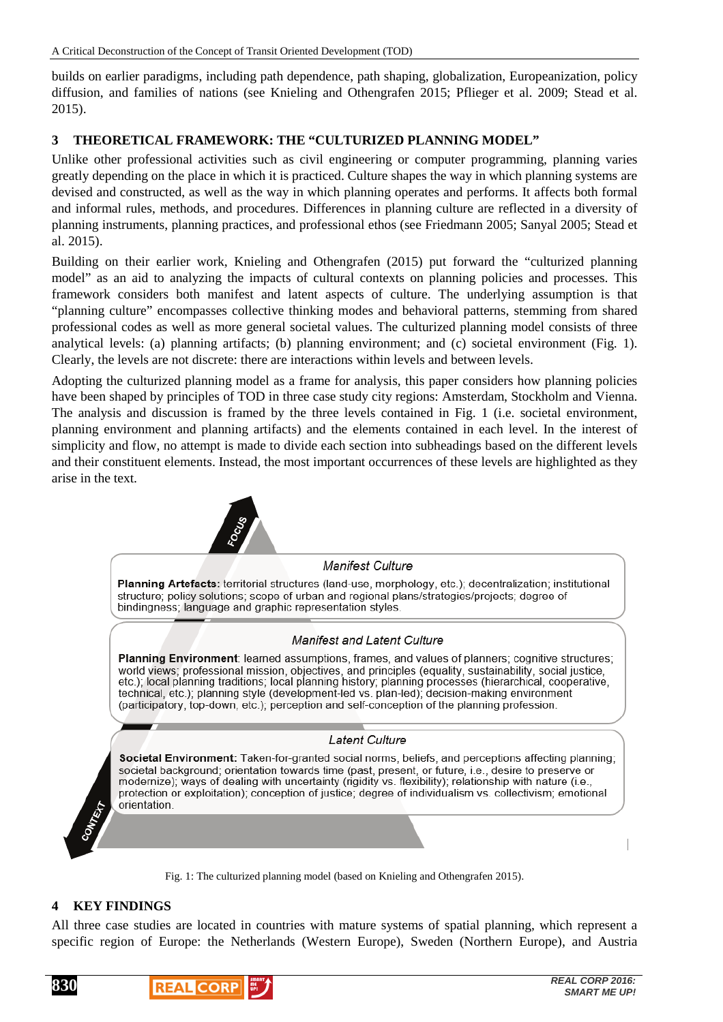builds on earlier paradigms, including path dependence, path shaping, globalization, Europeanization, policy diffusion, and families of nations (see Knieling and Othengrafen 2015; Pflieger et al. 2009; Stead et al. 2015).

## **3 THEORETICAL FRAMEWORK: THE "CULTURIZED PLANNING MODEL"**

Unlike other professional activities such as civil engineering or computer programming, planning varies greatly depending on the place in which it is practiced. Culture shapes the way in which planning systems are devised and constructed, as well as the way in which planning operates and performs. It affects both formal and informal rules, methods, and procedures. Differences in planning culture are reflected in a diversity of planning instruments, planning practices, and professional ethos (see Friedmann 2005; Sanyal 2005; Stead et al. 2015).

Building on their earlier work, Knieling and Othengrafen (2015) put forward the "culturized planning model" as an aid to analyzing the impacts of cultural contexts on planning policies and processes. This framework considers both manifest and latent aspects of culture. The underlying assumption is that "planning culture" encompasses collective thinking modes and behavioral patterns, stemming from shared professional codes as well as more general societal values. The culturized planning model consists of three analytical levels: (a) planning artifacts; (b) planning environment; and (c) societal environment (Fig. 1). Clearly, the levels are not discrete: there are interactions within levels and between levels.

Adopting the culturized planning model as a frame for analysis, this paper considers how planning policies have been shaped by principles of TOD in three case study city regions: Amsterdam, Stockholm and Vienna. The analysis and discussion is framed by the three levels contained in Fig. 1 (i.e. societal environment, planning environment and planning artifacts) and the elements contained in each level. In the interest of simplicity and flow, no attempt is made to divide each section into subheadings based on the different levels and their constituent elements. Instead, the most important occurrences of these levels are highlighted as they arise in the text.



#### **4 KEY FINDINGS**

All three case studies are located in countries with mature systems of spatial planning, which represent a specific region of Europe: the Netherlands (Western Europe), Sweden (Northern Europe), and Austria



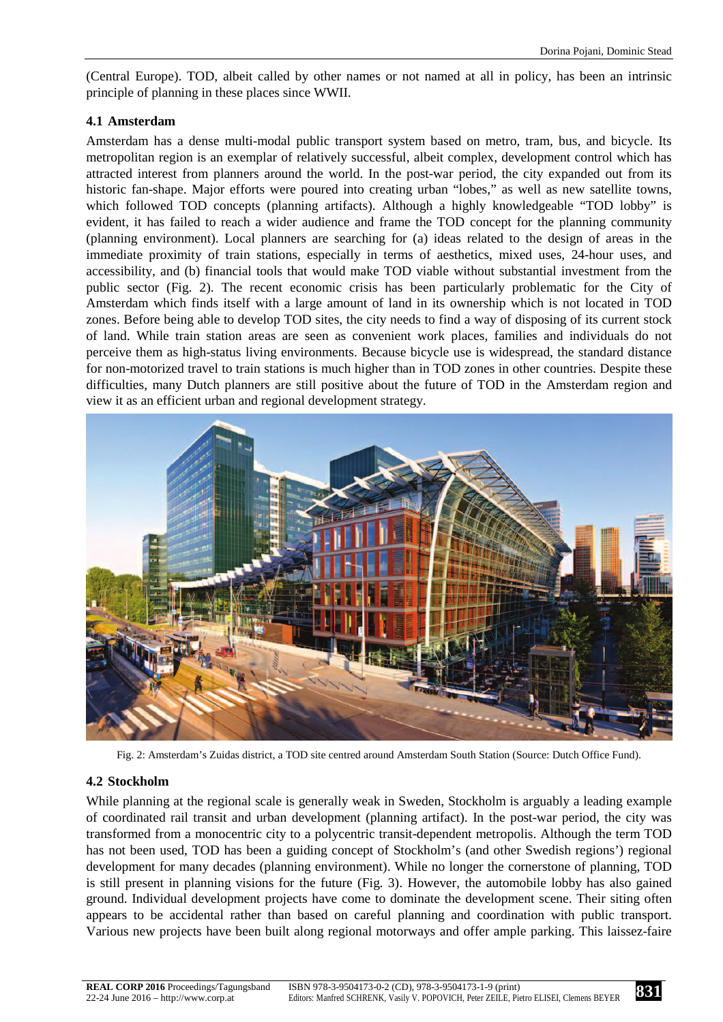(Central Europe). TOD, albeit called by other names or not named at all in policy, has been an intrinsic principle of planning in these places since WWII.

## **4.1 Amsterdam**

Amsterdam has a dense multi-modal public transport system based on metro, tram, bus, and bicycle. Its metropolitan region is an exemplar of relatively successful, albeit complex, development control which has attracted interest from planners around the world. In the post-war period, the city expanded out from its historic fan-shape. Major efforts were poured into creating urban "lobes," as well as new satellite towns, which followed TOD concepts (planning artifacts). Although a highly knowledgeable "TOD lobby" is evident, it has failed to reach a wider audience and frame the TOD concept for the planning community (planning environment). Local planners are searching for (a) ideas related to the design of areas in the immediate proximity of train stations, especially in terms of aesthetics, mixed uses, 24-hour uses, and accessibility, and (b) financial tools that would make TOD viable without substantial investment from the public sector (Fig. 2). The recent economic crisis has been particularly problematic for the City of Amsterdam which finds itself with a large amount of land in its ownership which is not located in TOD zones. Before being able to develop TOD sites, the city needs to find a way of disposing of its current stock of land. While train station areas are seen as convenient work places, families and individuals do not perceive them as high-status living environments. Because bicycle use is widespread, the standard distance for non-motorized travel to train stations is much higher than in TOD zones in other countries. Despite these difficulties, many Dutch planners are still positive about the future of TOD in the Amsterdam region and view it as an efficient urban and regional development strategy.



Fig. 2: Amsterdam's Zuidas district, a TOD site centred around Amsterdam South Station (Source: Dutch Office Fund).

## **4.2 Stockholm**

While planning at the regional scale is generally weak in Sweden, Stockholm is arguably a leading example of coordinated rail transit and urban development (planning artifact). In the post-war period, the city was transformed from a monocentric city to a polycentric transit-dependent metropolis. Although the term TOD has not been used, TOD has been a guiding concept of Stockholm's (and other Swedish regions') regional development for many decades (planning environment). While no longer the cornerstone of planning, TOD is still present in planning visions for the future (Fig. 3). However, the automobile lobby has also gained ground. Individual development projects have come to dominate the development scene. Their siting often appears to be accidental rather than based on careful planning and coordination with public transport. Various new projects have been built along regional motorways and offer ample parking. This laissez-faire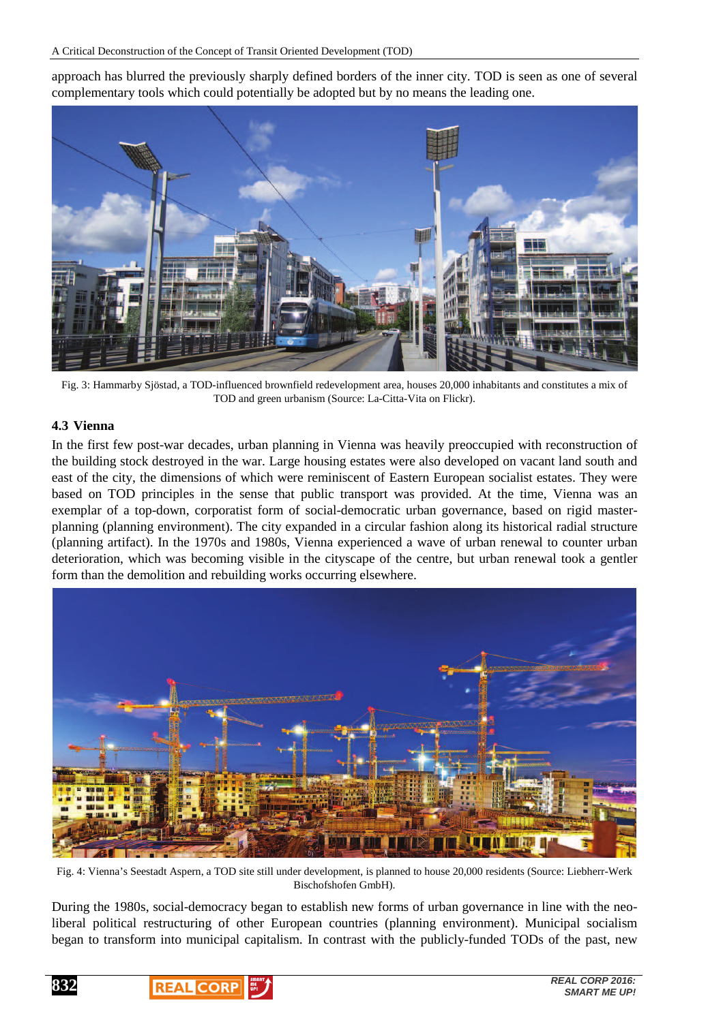approach has blurred the previously sharply defined borders of the inner city. TOD is seen as one of several complementary tools which could potentially be adopted but by no means the leading one.



Fig. 3: Hammarby Sjöstad, a TOD-influenced brownfield redevelopment area, houses 20,000 inhabitants and constitutes a mix of TOD and green urbanism (Source: La-Citta-Vita on Flickr).

## **4.3 Vienna**

In the first few post-war decades, urban planning in Vienna was heavily preoccupied with reconstruction of the building stock destroyed in the war. Large housing estates were also developed on vacant land south and east of the city, the dimensions of which were reminiscent of Eastern European socialist estates. They were based on TOD principles in the sense that public transport was provided. At the time, Vienna was an exemplar of a top-down, corporatist form of social-democratic urban governance, based on rigid masterplanning (planning environment). The city expanded in a circular fashion along its historical radial structure (planning artifact). In the 1970s and 1980s, Vienna experienced a wave of urban renewal to counter urban deterioration, which was becoming visible in the cityscape of the centre, but urban renewal took a gentler form than the demolition and rebuilding works occurring elsewhere.



Fig. 4: Vienna's Seestadt Aspern, a TOD site still under development, is planned to house 20,000 residents (Source: Liebherr-Werk Bischofshofen GmbH).

During the 1980s, social-democracy began to establish new forms of urban governance in line with the neoliberal political restructuring of other European countries (planning environment). Municipal socialism began to transform into municipal capitalism. In contrast with the publicly-funded TODs of the past, new